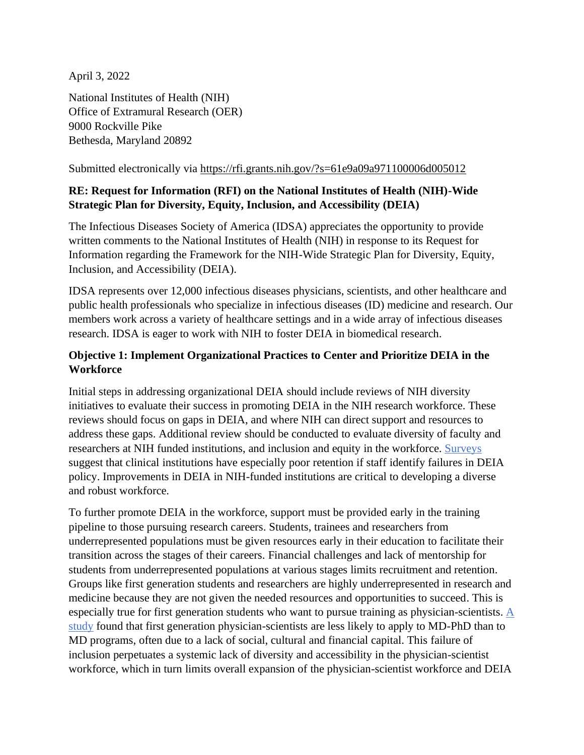April 3, 2022

National Institutes of Health (NIH) Office of Extramural Research (OER) 9000 Rockville Pike Bethesda, Maryland 20892

Submitted electronically via<https://rfi.grants.nih.gov/?s=61e9a09a971100006d005012>

## **RE: Request for Information (RFI) on the National Institutes of Health (NIH)-Wide Strategic Plan for Diversity, Equity, Inclusion, and Accessibility (DEIA)**

The Infectious Diseases Society of America (IDSA) appreciates the opportunity to provide written comments to the National Institutes of Health (NIH) in response to its Request for Information regarding the Framework for the NIH-Wide Strategic Plan for Diversity, Equity, Inclusion, and Accessibility (DEIA).

IDSA represents over 12,000 infectious diseases physicians, scientists, and other healthcare and public health professionals who specialize in infectious diseases (ID) medicine and research. Our members work across a variety of healthcare settings and in a wide array of infectious diseases research. IDSA is eager to work with NIH to foster DEIA in biomedical research.

## **Objective 1: Implement Organizational Practices to Center and Prioritize DEIA in the Workforce**

Initial steps in addressing organizational DEIA should include reviews of NIH diversity initiatives to evaluate their success in promoting DEIA in the NIH research workforce. These reviews should focus on gaps in DEIA, and where NIH can direct support and resources to address these gaps. Additional review should be conducted to evaluate diversity of faculty and researchers at NIH funded institutions, and inclusion and equity in the workforce. [Surveys](https://www.pressganey.com/about-us/news/press-ganey-uncovers-impact-diversity-equity-on-retention) suggest that clinical institutions have especially poor retention if staff identify failures in DEIA policy. Improvements in DEIA in NIH-funded institutions are critical to developing a diverse and robust workforce.

To further promote DEIA in the workforce, support must be provided early in the training pipeline to those pursuing research careers. Students, trainees and researchers from underrepresented populations must be given resources early in their education to facilitate their transition across the stages of their careers. Financial challenges and lack of mentorship for students from underrepresented populations at various stages limits recruitment and retention. Groups like first generation students and researchers are highly underrepresented in research and medicine because they are not given the needed resources and opportunities to succeed. This is especially true for first generation students who want to pursue training as physician-scientists. [A](https://www.ncbi.nlm.nih.gov/pmc/articles/PMC8211032/)  [study](https://www.ncbi.nlm.nih.gov/pmc/articles/PMC8211032/) found that first generation physician-scientists are less likely to apply to MD-PhD than to MD programs, often due to a lack of social, cultural and financial capital. This failure of inclusion perpetuates a systemic lack of diversity and accessibility in the physician-scientist workforce, which in turn limits overall expansion of the physician-scientist workforce and DEIA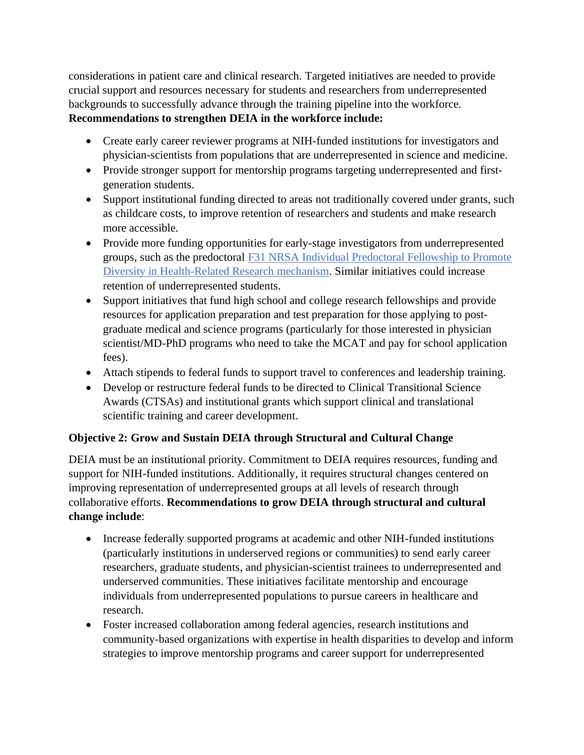considerations in patient care and clinical research. Targeted initiatives are needed to provide crucial support and resources necessary for students and researchers from underrepresented backgrounds to successfully advance through the training pipeline into the workforce. **Recommendations to strengthen DEIA in the workforce include:** 

- Create early career reviewer programs at NIH-funded institutions for investigators and physician-scientists from populations that are underrepresented in science and medicine.
- Provide stronger support for mentorship programs targeting underrepresented and firstgeneration students.
- Support institutional funding directed to areas not traditionally covered under grants, such as childcare costs, to improve retention of researchers and students and make research more accessible.
- Provide more funding opportunities for early-stage investigators from underrepresented groups, such as the predoctoral [F31 NRSA Individual Predoctoral Fellowship to Promote](https://www.ninds.nih.gov/Funding/Training-Career-Development/Award/F31-Individual-NRSA-Diverse-PhD-Students-Diverse-MDPhD)  [Diversity in Health-Related Research mechanism.](https://www.ninds.nih.gov/Funding/Training-Career-Development/Award/F31-Individual-NRSA-Diverse-PhD-Students-Diverse-MDPhD) Similar initiatives could increase retention of underrepresented students.
- Support initiatives that fund high school and college research fellowships and provide resources for application preparation and test preparation for those applying to postgraduate medical and science programs (particularly for those interested in physician scientist/MD-PhD programs who need to take the MCAT and pay for school application fees).
- Attach stipends to federal funds to support travel to conferences and leadership training.
- Develop or restructure federal funds to be directed to Clinical Transitional Science Awards (CTSAs) and institutional grants which support clinical and translational scientific training and career development.

## **Objective 2: Grow and Sustain DEIA through Structural and Cultural Change**

DEIA must be an institutional priority. Commitment to DEIA requires resources, funding and support for NIH-funded institutions. Additionally, it requires structural changes centered on improving representation of underrepresented groups at all levels of research through collaborative efforts. **Recommendations to grow DEIA through structural and cultural change include**:

- Increase federally supported programs at academic and other NIH-funded institutions (particularly institutions in underserved regions or communities) to send early career researchers, graduate students, and physician-scientist trainees to underrepresented and underserved communities. These initiatives facilitate mentorship and encourage individuals from underrepresented populations to pursue careers in healthcare and research.
- Foster increased collaboration among federal agencies, research institutions and community-based organizations with expertise in health disparities to develop and inform strategies to improve mentorship programs and career support for underrepresented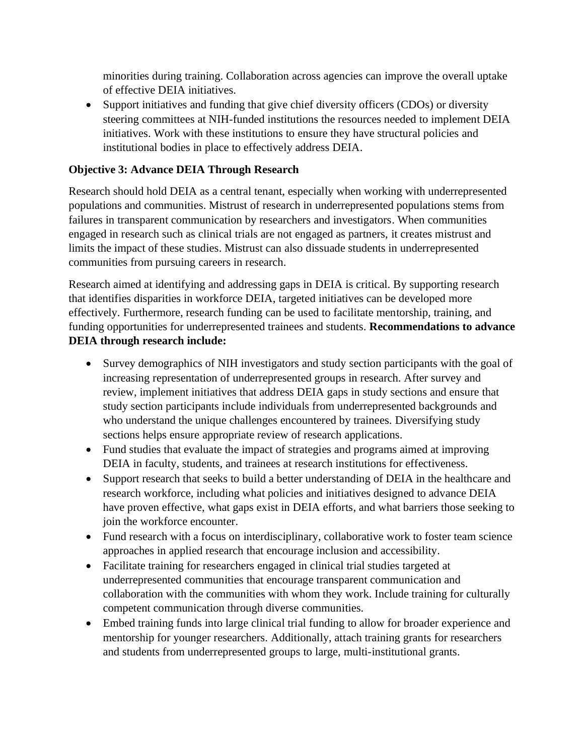minorities during training. Collaboration across agencies can improve the overall uptake of effective DEIA initiatives.

• Support initiatives and funding that give chief diversity officers (CDOs) or diversity steering committees at NIH-funded institutions the resources needed to implement DEIA initiatives. Work with these institutions to ensure they have structural policies and institutional bodies in place to effectively address DEIA.

## **Objective 3: Advance DEIA Through Research**

Research should hold DEIA as a central tenant, especially when working with underrepresented populations and communities. Mistrust of research in underrepresented populations stems from failures in transparent communication by researchers and investigators. When communities engaged in research such as clinical trials are not engaged as partners, it creates mistrust and limits the impact of these studies. Mistrust can also dissuade students in underrepresented communities from pursuing careers in research.

Research aimed at identifying and addressing gaps in DEIA is critical. By supporting research that identifies disparities in workforce DEIA, targeted initiatives can be developed more effectively. Furthermore, research funding can be used to facilitate mentorship, training, and funding opportunities for underrepresented trainees and students. **Recommendations to advance DEIA through research include:** 

- Survey demographics of NIH investigators and study section participants with the goal of increasing representation of underrepresented groups in research. After survey and review, implement initiatives that address DEIA gaps in study sections and ensure that study section participants include individuals from underrepresented backgrounds and who understand the unique challenges encountered by trainees. Diversifying study sections helps ensure appropriate review of research applications.
- Fund studies that evaluate the impact of strategies and programs aimed at improving DEIA in faculty, students, and trainees at research institutions for effectiveness.
- Support research that seeks to build a better understanding of DEIA in the healthcare and research workforce, including what policies and initiatives designed to advance DEIA have proven effective, what gaps exist in DEIA efforts, and what barriers those seeking to join the workforce encounter.
- Fund research with a focus on interdisciplinary, collaborative work to foster team science approaches in applied research that encourage inclusion and accessibility.
- Facilitate training for researchers engaged in clinical trial studies targeted at underrepresented communities that encourage transparent communication and collaboration with the communities with whom they work. Include training for culturally competent communication through diverse communities.
- Embed training funds into large clinical trial funding to allow for broader experience and mentorship for younger researchers. Additionally, attach training grants for researchers and students from underrepresented groups to large, multi-institutional grants.